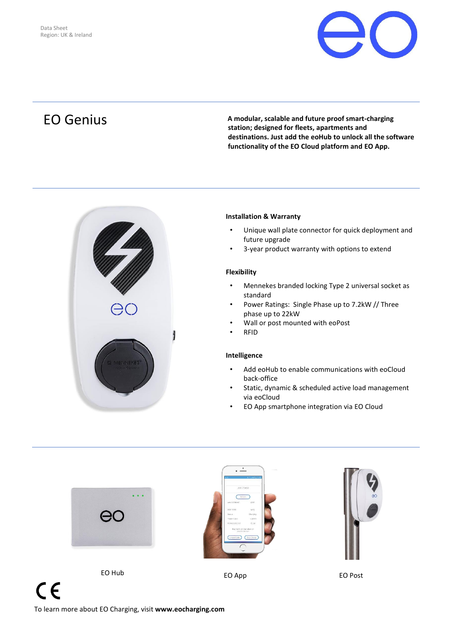

EO Genius **<sup>A</sup> modular, scalable and future proof smart-charging station; designed for fleets, apartments and destinations. Just add the eoHub to unlock all the software functionality of the EO Cloud platform and EO App.**



# **Installation & Warranty**

- Unique wall plate connector for quick deployment and future upgrade
- 3-year product warranty with options to extend

## **Flexibility**

- Mennekes branded locking Type 2 universal socket as standard
- Power Ratings: Single Phase up to 7.2kW // Three phase up to 22kW
- Wall or post mounted with eoPost
- RFID

# **Intelligence**

- Add eoHub to enable communications with eoCloud back-office
- Static, dynamic & scheduled active load management via eoCloud
- EO App smartphone integration via EO Cloud